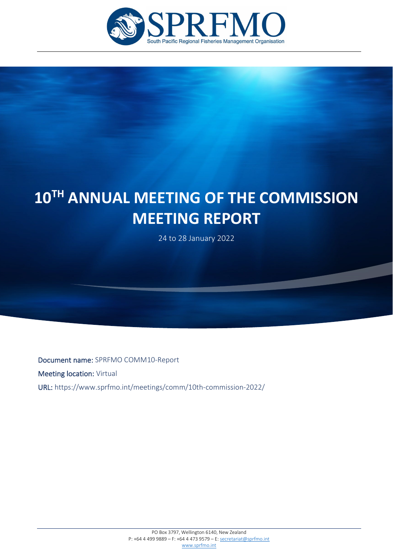

# **10TH ANNUAL MEETING OF THE COMMISSION MEETING REPORT**

24 to 28 January 2022

Document name: SPRFMO COMM10-Report Meeting location: Virtual URL: https://www.sprfmo.int/meetings/comm/10th-commission-2022/

í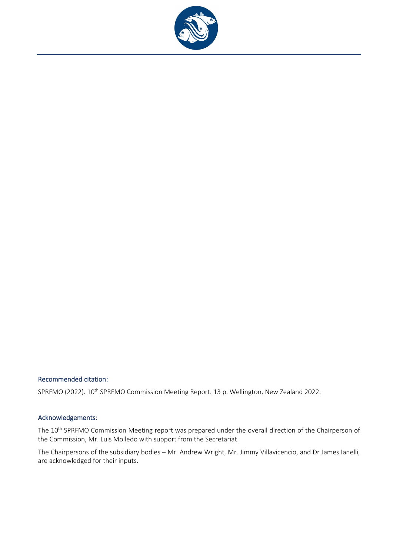

### Recommended citation:

SPRFMO (2022). 10<sup>th</sup> SPRFMO Commission Meeting Report. 13 p. Wellington, New Zealand 2022.

### Acknowledgements:

The 10<sup>th</sup> SPRFMO Commission Meeting report was prepared under the overall direction of the Chairperson of the Commission, Mr. Luis Molledo with support from the Secretariat.

The Chairpersons of the subsidiary bodies – Mr. Andrew Wright, Mr. Jimmy Villavicencio, and Dr James Ianelli, are acknowledged for their inputs.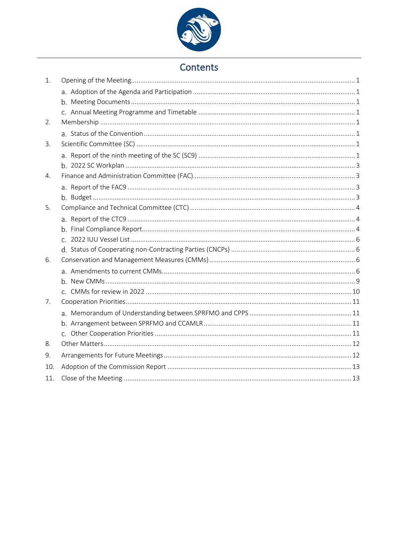

# Contents

| 1.  |  |
|-----|--|
|     |  |
|     |  |
|     |  |
| 2.  |  |
|     |  |
| 3.  |  |
|     |  |
|     |  |
| 4.  |  |
|     |  |
|     |  |
| 5.  |  |
|     |  |
|     |  |
|     |  |
|     |  |
| 6.  |  |
|     |  |
|     |  |
|     |  |
| 7.  |  |
|     |  |
|     |  |
|     |  |
| 8.  |  |
| 9.  |  |
| 10. |  |
| 11. |  |
|     |  |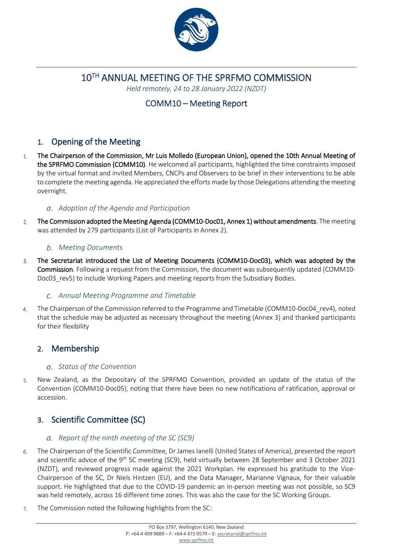

10TH ANNUAL MEETING OF THE SPRFMO COMMISSION

*Held remotely, 24 to 28 January 2022 (NZDT)*

# COMM10 – Meeting Report

# <span id="page-4-0"></span>1. Opening of the Meeting

- The Chairperson of the Commission, Mr Luis Molledo (European Union), opened the 10th Annual Meeting of  $\mathbf{1}$ the SPRFMO Commission (COMM10). He welcomed all participants, highlighted the time constraints imposed by the virtual format and invited Members, CNCPs and Observers to be brief in their interventions to be able to complete the meeting agenda. He appreciated the efforts made by those Delegations attending the meeting overnight.
	- *Adoption of the Agenda and Participation*
- <span id="page-4-1"></span>The Commission adopted the Meeting Agenda (COMM10-Doc01, Annex 1) without amendments. The meeting  $\mathcal{L}$ was attended by 279 participants (List of Participants in Annex 2).

### <span id="page-4-2"></span>*Meeting Documents*

The Secretariat introduced the List of Meeting Documents (COMM10-Doc03), which was adopted by the 3. Commission. Following a request from the Commission, the document was subsequently updated (COMM10- Doc03 rev5) to include Working Papers and meeting reports from the Subsidiary Bodies.

### <span id="page-4-3"></span>*Annual Meeting Programme and Timetable*

The Chairperson of the Commission referred to the Programme and Timetable (COMM10-Doc04\_rev4), noted  $\overline{4}$ . that the schedule may be adjusted as necessary throughout the meeting (Annex 3) and thanked participants for their flexibility

# <span id="page-4-4"></span>2. Membership

### <span id="page-4-5"></span>*Status of the Convention*

New Zealand, as the Depositary of the SPRFMO Convention, provided an update of the status of the 5. Convention (COMM10-Doc05), noting that there have been no new notifications of ratification, approval or accession.

# <span id="page-4-6"></span>3. Scientific Committee (SC)

### <span id="page-4-7"></span>*Report of the ninth meeting of the SC (SC9)*

- The Chairperson of the Scientific Committee, Dr James Ianelli (United States of America), presented the report 6. and scientific advice of the 9<sup>th</sup> SC meeting (SC9), held virtually between 28 September and 3 October 2021 (NZDT), and reviewed progress made against the 2021 Workplan. He expressed his gratitude to the Vice-Chairperson of the SC, Dr Niels Hintzen (EU), and the Data Manager, Marianne Vignaux, for their valuable support. He highlighted that due to the COVID-19 pandemic an in-person meeting was not possible, so SC9 was held remotely, across 16 different time zones. This was also the case for the SC Working Groups.
- The Commission noted the following highlights from the SC: $\overline{7}$ .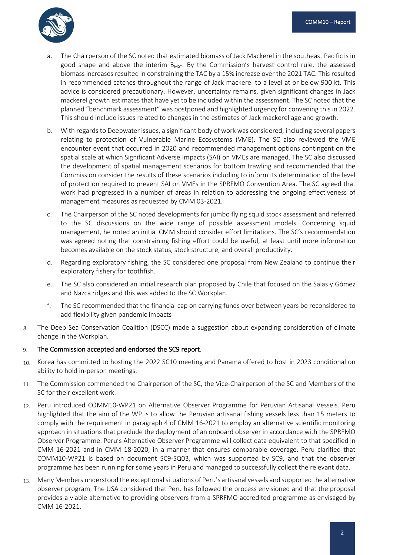

- The Chairperson of the SC noted that estimated biomass of Jack Mackerel in the southeast Pacific is in good shape and above the interim  $B_{MSV}$ . By the Commission's harvest control rule, the assessed biomass increases resulted in constraining the TAC by a 15% increase over the 2021 TAC. This resulted in recommended catches throughout the range of Jack mackerel to a level at or below 900 kt. This advice is considered precautionary. However, uncertainty remains, given significant changes in Jack mackerel growth estimates that have yet to be included within the assessment. The SC noted that the planned "benchmark assessment" was postponed and highlighted urgency for convening this in 2022. This should include issues related to changes in the estimates of Jack mackerel age and growth.
- b. With regards to Deepwater issues, a significant body of work was considered, including several papers relating to protection of Vulnerable Marine Ecosystems (VME). The SC also reviewed the VME encounter event that occurred in 2020 and recommended management options contingent on the spatial scale at which Significant Adverse Impacts (SAI) on VMEs are managed. The SC also discussed the development of spatial management scenarios for bottom trawling and recommended that the Commission consider the results of these scenarios including to inform its determination of the level of protection required to prevent SAI on VMEs in the SPRFMO Convention Area. The SC agreed that work had progressed in a number of areas in relation to addressing the ongoing effectiveness of management measures as requested by CMM 03-2021.
- c. The Chairperson of the SC noted developments for jumbo flying squid stock assessment and referred to the SC discussions on the wide range of possible assessment models. Concerning squid management, he noted an initial CMM should consider effort limitations. The SC's recommendation was agreed noting that constraining fishing effort could be useful, at least until more information becomes available on the stock status, stock structure, and overall productivity.
- d. Regarding exploratory fishing, the SC considered one proposal from New Zealand to continue their exploratory fishery for toothfish.
- e. The SC also considered an initial research plan proposed by Chile that focused on the Salas y Gómez and Nazca ridges and this was added to the SC Workplan.
- f. The SC recommended that the financial cap on carrying funds over between years be reconsidered to add flexibility given pandemic impacts
- The Deep Sea Conservation Coalition (DSCC) made a suggestion about expanding consideration of climate  $\mathsf{R}$ change in the Workplan.

#### The Commission accepted and endorsed the SC9 report. 9.

- Korea has committed to hosting the 2022 SC10 meeting and Panama offered to host in 2023 conditional on 10. ability to hold in-person meetings.
- 11. The Commission commended the Chairperson of the SC, the Vice-Chairperson of the SC and Members of the SC for their excellent work.
- Peru introduced COMM10-WP21 on Alternative Observer Programme for Peruvian Artisanal Vessels. Peru  $12.$ highlighted that the aim of the WP is to allow the Peruvian artisanal fishing vessels less than 15 meters to comply with the requirement in paragraph 4 of CMM 16-2021 to employ an alternative scientific monitoring approach in situations that preclude the deployment of an onboard observer in accordance with the SPRFMO Observer Programme. Peru's Alternative Observer Programme will collect data equivalent to that specified in CMM 16-2021 and in CMM 18-2020, in a manner that ensures comparable coverage. Peru clarified that COMM10-WP21 is based on document SC9-SQ03, which was supported by SC9, and that the observer programme has been running for some years in Peru and managed to successfully collect the relevant data.
- Many Members understood the exceptional situations of Peru's artisanal vessels and supported the alternative 13. observer program. The USA considered that Peru has followed the process envisioned and that the proposal provides a viable alternative to providing observers from a SPRFMO accredited programme as envisaged by CMM 16-2021.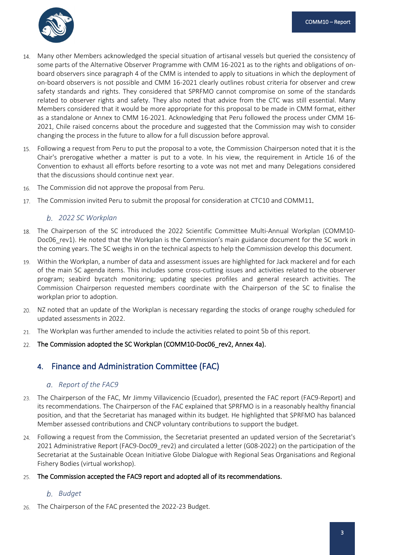

- Many other Members acknowledged the special situation of artisanal vessels but queried the consistency of  $14.$ some parts of the Alternative Observer Programme with CMM 16-2021 as to the rights and obligations of onboard observers since paragraph 4 of the CMM is intended to apply to situations in which the deployment of on-board observers is not possible and CMM 16-2021 clearly outlines robust criteria for observer and crew safety standards and rights. They considered that SPRFMO cannot compromise on some of the standards related to observer rights and safety. They also noted that advice from the CTC was still essential. Many Members considered that it would be more appropriate for this proposal to be made in CMM format, either as a standalone or Annex to CMM 16-2021. Acknowledging that Peru followed the process under CMM 16- 2021, Chile raised concerns about the procedure and suggested that the Commission may wish to consider changing the process in the future to allow for a full discussion before approval.
- Following a request from Peru to put the proposal to a vote, the Commission Chairperson noted that it is the Chair's prerogative whether a matter is put to a vote. In his view, the requirement in Article 16 of the Convention to exhaust all efforts before resorting to a vote was not met and many Delegations considered that the discussions should continue next year.
- The Commission did not approve the proposal from Peru. 16.
- The Commission invited Peru to submit the proposal for consideration at CTC10 and COMM11. 17.

### <span id="page-6-0"></span>*2022 SC Workplan*

- 18. The Chairperson of the SC introduced the 2022 Scientific Committee Multi-Annual Workplan (COMM10- Doc06 rev1). He noted that the Workplan is the Commission's main guidance document for the SC work in the coming years. The SC weighs in on the technical aspects to help the Commission develop this document.
- Within the Workplan, a number of data and assessment issues are highlighted for Jack mackerel and for each of the main SC agenda items. This includes some cross-cutting issues and activities related to the observer program; seabird bycatch monitoring; updating species profiles and general research activities. The Commission Chairperson requested members coordinate with the Chairperson of the SC to finalise the workplan prior to adoption.
- NZ noted that an update of the Workplan is necessary regarding the stocks of orange roughy scheduled for 20. updated assessments in 2022.
- The Workplan was further amended to include the activities related to point 5b of this report.  $21$
- The Commission adopted the SC Workplan (COMM10-Doc06 rev2, Annex 4a). 22.

# <span id="page-6-1"></span>4. Finance and Administration Committee (FAC)

### <span id="page-6-2"></span>*Report of the FAC9*

- The Chairperson of the FAC, Mr Jimmy Villavicencio (Ecuador), presented the FAC report (FAC9-Report) and 23. its recommendations. The Chairperson of the FAC explained that SPRFMO is in a reasonably healthy financial position, and that the Secretariat has managed within its budget. He highlighted that SPRFMO has balanced Member assessed contributions and CNCP voluntary contributions to support the budget.
- Following a request from the Commission, the Secretariat presented an updated version of the Secretariat's 2021 Administrative Report (FAC9-Doc09 rev2) and circulated a letter (G08-2022) on the participation of the Secretariat at the Sustainable Ocean Initiative Globe Dialogue with Regional Seas Organisations and Regional Fishery Bodies (virtual workshop).

#### The Commission accepted the FAC9 report and adopted all of its recommendations.  $25.$

### <span id="page-6-3"></span>*Budget*

The Chairperson of the FAC presented the 2022-23 Budget.26.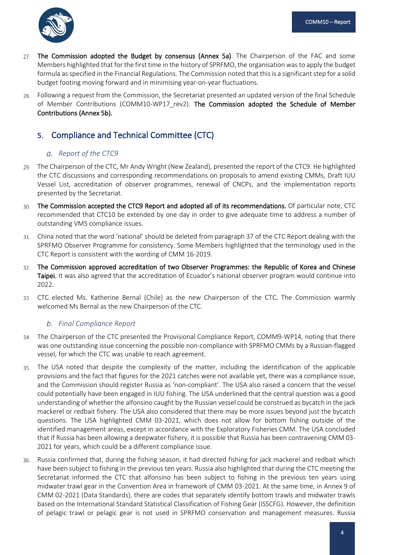

- The Commission adopted the Budget by consensus (Annex 5a). The Chairperson of the FAC and some 27. Members highlighted that for the first time in the history of SPRFMO, the organisation was to apply the budget formula as specified in the Financial Regulations. The Commission noted that this is a significant step for a solid budget footing moving forward and in minimising year-on-year fluctuations.
- Following a request from the Commission, the Secretariat presented an updated version of the final Schedule 28. of Member Contributions (COMM10-WP17\_rev2). The Commission adopted the Schedule of Member Contributions (Annex 5b).

# <span id="page-7-0"></span>5. Compliance and Technical Committee (CTC)

### <span id="page-7-1"></span>*Report of the CTC9*

- The Chairperson of the CTC, Mr Andy Wright (New Zealand), presented the report of the CTC9. He highlighted the CTC discussions and corresponding recommendations on proposals to amend existing CMMs, Draft IUU Vessel List, accreditation of observer programmes, renewal of CNCPs, and the implementation reports presented by the Secretariat.
- The Commission accepted the CTC9 Report and adopted all of its recommendations. Of particular note, CTC 30. recommended that CTC10 be extended by one day in order to give adequate time to address a number of outstanding VMS compliance issues.
- China noted that the word 'national' should be deleted from paragraph 37 of the CTC Report dealing with the SPRFMO Observer Programme for consistency. Some Members highlighted that the terminology used in the CTC Report is consistent with the wording of CMM 16-2019.
- The Commission approved accreditation of two Observer Programmes: the Republic of Korea and Chinese Taipei. It was also agreed that the accreditation of Ecuador's national observer program would continue into 2022.
- CTC elected Ms. Katherine Bernal (Chile) as the new Chairperson of the CTC. The Commission warmly welcomed Ms Bernal as the new Chairperson of the CTC.

### <span id="page-7-2"></span>*Final Compliance Report*

- The Chairperson of the CTC presented the Provisional Compliance Report, COMM9-WP14, noting that there was one outstanding issue concerning the possible non-compliance with SPRFMO CMMs by a Russian-flagged vessel, for which the CTC was unable to reach agreement.
- The USA noted that despite the complexity of the matter, including the identification of the applicable provisions and the fact that figures for the 2021 catches were not available yet, there was a compliance issue, and the Commission should register Russia as 'non-compliant'. The USA also raised a concern that the vessel could potentially have been engaged in IUU fishing. The USA underlined that the central question was a good understanding of whether the alfonsino caught by the Russian vessel could be construed as bycatch in the jack mackerel or redbait fishery. The USA also considered that there may be more issues beyond just the bycatch questions. The USA highlighted CMM 03-2021, which does not allow for bottom fishing outside of the identified management areas, except in accordance with the Exploratory Fisheries CMM. The USA concluded that if Russia has been allowing a deepwater fishery, it is possible that Russia has been contravening CMM 03- 2021 for years, which could be a different compliance issue.
- Russia confirmed that, during the fishing season, it had directed fishing for jack mackerel and redbait which 36. have been subject to fishing in the previous ten years. Russia also highlighted that during the CTC meeting the Secretariat informed the CTC that alfonsino has been subject to fishing in the previous ten years using midwater trawl gear in the Convention Area in framework of CMM 03-2021. At the same time, in Annex 9 of CMM 02-2021 (Data Standards), there are codes that separately identify bottom trawls and midwater trawls based on the International Standard Statistical Classification of Fishing Gear (ISSCFG). However, the definition of pelagic trawl or pelagic gear is not used in SPRFMO conservation and management measures. Russia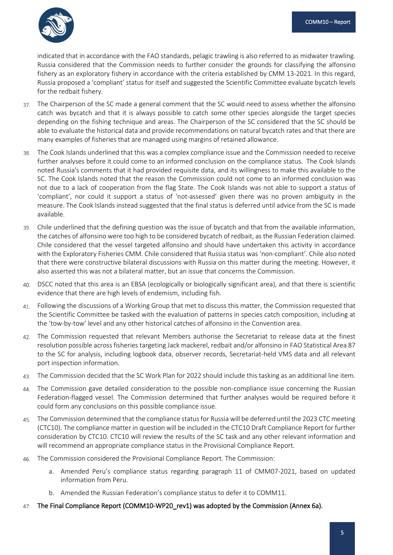

indicated that in accordance with the FAO standards, pelagic trawling is also referred to as midwater trawling. Russia considered that the Commission needs to further consider the grounds for classifying the alfonsino fishery as an exploratory fishery in accordance with the criteria established by CMM 13-2021. In this regard, Russia proposed a 'compliant' status for itself and suggested the Scientific Committee evaluate bycatch levels for the redbait fishery.

- The Chairperson of the SC made a general comment that the SC would need to assess whether the alfonsino 37. catch was bycatch and that it is always possible to catch some other species alongside the target species depending on the fishing technique and areas. The Chairperson of the SC considered that the SC should be able to evaluate the historical data and provide recommendations on natural bycatch rates and that there are many examples of fisheries that are managed using margins of retained allowance.
- The Cook Islands underlined that this was a complex compliance issue and the Commission needed to receive 38. further analyses before it could come to an informed conclusion on the compliance status. The Cook Islands noted Russia's comments that it had provided requisite data, and its willingness to make this available to the SC. The Cook Islands noted that the reason the Commission could not come to an informed conclusion was not due to a lack of cooperation from the flag State. The Cook Islands was not able to support a status of 'compliant', nor could it support a status of 'not-assessed' given there was no proven ambiguity in the measure. The Cook Islands instead suggested that the final status is deferred until advice from the SC is made available.
- Chile underlined that the defining question was the issue of bycatch and that from the available information, the catches of alfonsino were too high to be considered bycatch of redbait, as the Russian Federation claimed. Chile considered that the vessel targeted alfonsino and should have undertaken this activity in accordance with the Exploratory Fisheries CMM. Chile considered that Russia status was 'non-compliant'. Chile also noted that there were constructive bilateral discussions with Russia on this matter during the meeting. However, it also asserted this was not a bilateral matter, but an issue that concerns the Commission.
- DSCC noted that this area is an EBSA (ecologically or biologically significant area), and that there is scientific evidence that there are high levels of endemism, including fish.
- 41. Following the discussions of a Working Group that met to discuss this matter, the Commission requested that the Scientific Committee be tasked with the evaluation of patterns in species catch composition, including at the 'tow-by-tow' level and any other historical catches of alfonsino in the Convention area.
- The Commission requested that relevant Members authorise the Secretariat to release data at the finest resolution possible across fisheries targeting Jack mackerel, redbait and/or alfonsino in FAO Statistical Area 87 to the SC for analysis, including logbook data, observer records, Secretariat-held VMS data and all relevant port inspection information.
- The Commission decided that the SC Work Plan for 2022 should include this tasking as an additional line item. 43.
- The Commission gave detailed consideration to the possible non-compliance issue concerning the Russian  $44$ Federation-flagged vessel. The Commission determined that further analyses would be required before it could form any conclusions on this possible compliance issue.
- The Commission determined that the compliance status for Russia will be deferred until the 2023 CTC meeting 45. (CTC10). The compliance matter in question will be included in the CTC10 Draft Compliance Report for further consideration by CTC10. CTC10 will review the results of the SC task and any other relevant information and will recommend an appropriate compliance status in the Provisional Compliance Report.
- The Commission considered the Provisional Compliance Report. The Commission: 46.
	- a. Amended Peru's compliance status regarding paragraph 11 of CMM07-2021, based on updated information from Peru.
	- b. Amended the Russian Federation's compliance status to defer it to COMM11.
- The Final Compliance Report (COMM10-WP20\_rev1) was adopted by the Commission (Annex 6a).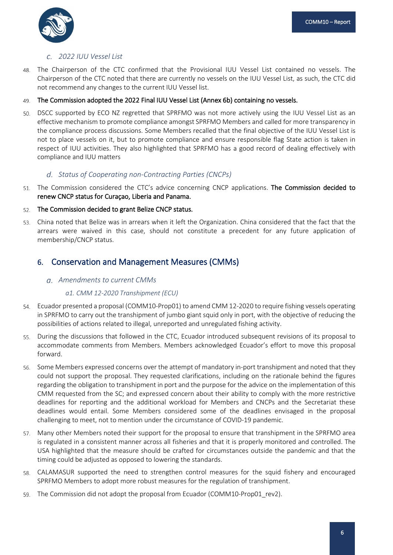

### <span id="page-9-0"></span>*2022 IUU Vessel List*

The Chairperson of the CTC confirmed that the Provisional IUU Vessel List contained no vessels. The 48. Chairperson of the CTC noted that there are currently no vessels on the IUU Vessel List, as such, the CTC did not recommend any changes to the current IUU Vessel list.

#### The Commission adopted the 2022 Final IUU Vessel List (Annex 6b) containing no vessels. 49.

DSCC supported by ECO NZ regretted that SPRFMO was not more actively using the IUU Vessel List as an 50 effective mechanism to promote compliance amongst SPRFMO Members and called for more transparency in the compliance process discussions. Some Members recalled that the final objective of the IUU Vessel List is not to place vessels on it, but to promote compliance and ensure responsible flag State action is taken in respect of IUU activities. They also highlighted that SPRFMO has a good record of dealing effectively with compliance and IUU matters

### <span id="page-9-1"></span>*Status of Cooperating non-Contracting Parties (CNCPs)*

51. The Commission considered the CTC's advice concerning CNCP applications. The Commission decided to renew CNCP status for Curaçao, Liberia and Panama.

#### The Commission decided to grant Belize CNCP status. 52.

China noted that Belize was in arrears when it left the Organization. China considered that the fact that the 53 arrears were waived in this case, should not constitute a precedent for any future application of membership/CNCP status.

# <span id="page-9-2"></span>6. Conservation and Management Measures (CMMs)

### <span id="page-9-3"></span>*Amendments to current CMMs*

### *a1. CMM 12-2020 Transhipment (ECU)*

- Ecuador presented a proposal (COMM10-Prop01) to amend CMM 12-2020 to require fishing vessels operating in SPRFMO to carry out the transhipment of jumbo giant squid only in port, with the objective of reducing the possibilities of actions related to illegal, unreported and unregulated fishing activity.
- During the discussions that followed in the CTC, Ecuador introduced subsequent revisions of its proposal to accommodate comments from Members. Members acknowledged Ecuador's effort to move this proposal forward.
- Some Members expressed concerns over the attempt of mandatory in-port transhipment and noted that they 56. could not support the proposal. They requested clarifications, including on the rationale behind the figures regarding the obligation to transhipment in port and the purpose for the advice on the implementation of this CMM requested from the SC; and expressed concern about their ability to comply with the more restrictive deadlines for reporting and the additional workload for Members and CNCPs and the Secretariat these deadlines would entail. Some Members considered some of the deadlines envisaged in the proposal challenging to meet, not to mention under the circumstance of COVID-19 pandemic.
- 57. Many other Members noted their support for the proposal to ensure that transhipment in the SPRFMO area is regulated in a consistent manner across all fisheries and that it is properly monitored and controlled. The USA highlighted that the measure should be crafted for circumstances outside the pandemic and that the timing could be adjusted as opposed to lowering the standards.
- CALAMASUR supported the need to strengthen control measures for the squid fishery and encouraged 58. SPRFMO Members to adopt more robust measures for the regulation of transhipment.
- The Commission did not adopt the proposal from Ecuador (COMM10-Prop01\_rev2). 59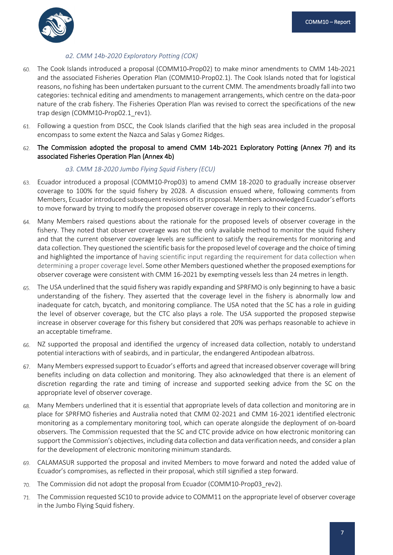

### *a2. CMM 14b-2020 Exploratory Potting (COK)*

- The Cook Islands introduced a proposal (COMM10‐Prop02) to make minor amendments to CMM 14b-2021 60. and the associated Fisheries Operation Plan (COMM10-Prop02.1). The Cook Islands noted that for logistical reasons, no fishing has been undertaken pursuant to the current CMM. The amendments broadly fall into two categories: technical editing and amendments to management arrangements, which centre on the data-poor nature of the crab fishery. The Fisheries Operation Plan was revised to correct the specifications of the new trap design (COMM10-Prop02.1 rev1).
- Following a question from DSCC, the Cook Islands clarified that the high seas area included in the proposal encompass to some extent the Nazca and Salas y Gomez Ridges.
- The Commission adopted the proposal to amend CMM 14b-2021 Exploratory Potting (Annex 7f) and its associated Fisheries Operation Plan (Annex 4b)

### *a3. CMM 18-2020 Jumbo Flying Squid Fishery (ECU)*

- Ecuador introduced a proposal (COMM10-Prop03) to amend CMM 18-2020 to gradually increase observer coverage to 100% for the squid fishery by 2028. A discussion ensued where, following comments from Members, Ecuador introduced subsequent revisions of its proposal. Members acknowledged Ecuador's efforts to move forward by trying to modify the proposed observer coverage in reply to their concerns.
- Many Members raised questions about the rationale for the proposed levels of observer coverage in the 64 fishery. They noted that observer coverage was not the only available method to monitor the squid fishery and that the current observer coverage levels are sufficient to satisfy the requirements for monitoring and data collection. They questioned the scientific basis for the proposed level of coverage and the choice of timing and highlighted the importance of having scientific input regarding the requirement for data collection when determining a proper coverage level. Some other Members questioned whether the proposed exemptions for observer coverage were consistent with CMM 16-2021 by exempting vessels less than 24 metres in length.
- The USA underlined that the squid fishery was rapidly expanding and SPRFMO is only beginning to have a basic 65. understanding of the fishery. They asserted that the coverage level in the fishery is abnormally low and inadequate for catch, bycatch, and monitoring compliance. The USA noted that the SC has a role in guiding the level of observer coverage, but the CTC also plays a role. The USA supported the proposed stepwise increase in observer coverage for this fishery but considered that 20% was perhaps reasonable to achieve in an acceptable timeframe.
- NZ supported the proposal and identified the urgency of increased data collection, notably to understand 66. potential interactions with of seabirds, and in particular, the endangered Antipodean albatross.
- Many Members expressed support to Ecuador's efforts and agreed that increased observer coverage will bring benefits including on data collection and monitoring. They also acknowledged that there is an element of discretion regarding the rate and timing of increase and supported seeking advice from the SC on the appropriate level of observer coverage.
- Many Members underlined that it is essential that appropriate levels of data collection and monitoring are in 68. place for SPRFMO fisheries and Australia noted that CMM 02-2021 and CMM 16-2021 identified electronic monitoring as a complementary monitoring tool, which can operate alongside the deployment of on-board observers. The Commission requested that the SC and CTC provide advice on how electronic monitoring can support the Commission's objectives, including data collection and data verification needs, and consider a plan for the development of electronic monitoring minimum standards.
- CALAMASUR supported the proposal and invited Members to move forward and noted the added value of 69. Ecuador's compromises, as reflected in their proposal, which still signified a step forward.
- The Commission did not adopt the proposal from Ecuador (COMM10-Prop03 rev2).  $70<sub>1</sub>$
- The Commission requested SC10 to provide advice to COMM11 on the appropriate level of observer coverage 71. in the Jumbo Flying Squid fishery.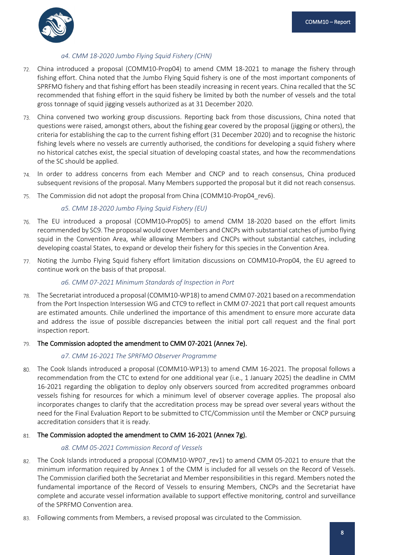

### *a4. CMM 18-2020 Jumbo Flying Squid Fishery (CHN)*

- China introduced a proposal (COMM10-Prop04) to amend CMM 18-2021 to manage the fishery through fishing effort. China noted that the Jumbo Flying Squid fishery is one of the most important components of SPRFMO fishery and that fishing effort has been steadily increasing in recent years. China recalled that the SC recommended that fishing effort in the squid fishery be limited by both the number of vessels and the total gross tonnage of squid jigging vessels authorized as at 31 December 2020.
- China convened two working group discussions. Reporting back from those discussions, China noted that 73. questions were raised, amongst others, about the fishing gear covered by the proposal (jigging or others), the criteria for establishing the cap to the current fishing effort (31 December 2020) and to recognise the historic fishing levels where no vessels are currently authorised, the conditions for developing a squid fishery where no historical catches exist, the special situation of developing coastal states, and how the recommendations of the SC should be applied.
- In order to address concerns from each Member and CNCP and to reach consensus, China produced subsequent revisions of the proposal. Many Members supported the proposal but it did not reach consensus.
- The Commission did not adopt the proposal from China (COMM10-Prop04 rev6). 75.

### *a5. CMM 18-2020 Jumbo Flying Squid Fishery (EU)*

- The EU introduced a proposal (COMM10-Prop05) to amend CMM 18-2020 based on the effort limits 76. recommended by SC9. The proposal would cover Members and CNCPs with substantial catches of jumbo flying squid in the Convention Area, while allowing Members and CNCPs without substantial catches, including developing coastal States, to expand or develop their fishery for this species in the Convention Area.
- 77. Noting the Jumbo Flying Squid fishery effort limitation discussions on COMM10-Prop04, the EU agreed to continue work on the basis of that proposal.

### *a6. CMM 07-2021 Minimum Standards of Inspection in Port*

The Secretariat introduced a proposal (COMM10-WP18) to amend CMM 07-2021 based on a recommendation 78. from the Port Inspection Intersession WG and CTC9 to reflect in CMM 07-2021 that port call request amounts are estimated amounts. Chile underlined the importance of this amendment to ensure more accurate data and address the issue of possible discrepancies between the initial port call request and the final port inspection report.

#### The Commission adopted the amendment to CMM 07-2021 (Annex 7e). 79.

### *a7. CMM 16-2021 The SPRFMO Observer Programme*

The Cook Islands introduced a proposal (COMM10-WP13) to amend CMM 16-2021. The proposal follows a 80. recommendation from the CTC to extend for one additional year (i.e., 1 January 2025) the deadline in CMM 16-2021 regarding the obligation to deploy only observers sourced from accredited programmes onboard vessels fishing for resources for which a minimum level of observer coverage applies. The proposal also incorporates changes to clarify that the accreditation process may be spread over several years without the need for the Final Evaluation Report to be submitted to CTC/Commission until the Member or CNCP pursuing accreditation considers that it is ready.

### 81. The Commission adopted the amendment to CMM 16-2021 (Annex 7g).

### *a8. CMM 05-2021 Commission Record of Vessels*

- 82. The Cook Islands introduced a proposal (COMM10-WP07 rev1) to amend CMM 05-2021 to ensure that the minimum information required by Annex 1 of the CMM is included for all vessels on the Record of Vessels. The Commission clarified both the Secretariat and Member responsibilities in this regard. Members noted the fundamental importance of the Record of Vessels to ensuring Members, CNCPs and the Secretariat have complete and accurate vessel information available to support effective monitoring, control and surveillance of the SPRFMO Convention area.
- Following comments from Members, a revised proposal was circulated to the Commission.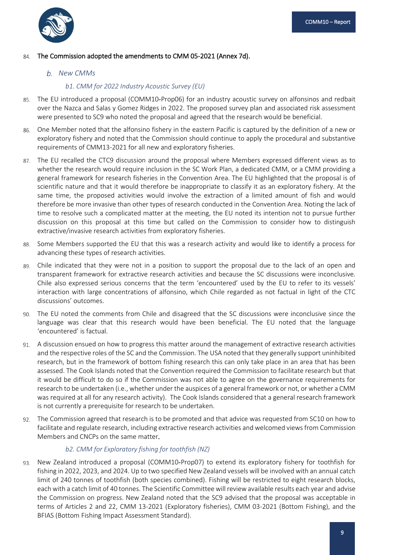

#### The Commission adopted the amendments to CMM 05-2021 (Annex 7d). 84.

### <span id="page-12-0"></span>*New CMMs*

### *b1. CMM for 2022 Industry Acoustic Survey (EU)*

- The EU introduced a proposal (COMM10‐Prop06) for an industry acoustic survey on alfonsinos and redbait 85. over the Nazca and Salas y Gomez Ridges in 2022. The proposed survey plan and associated risk assessment were presented to SC9 who noted the proposal and agreed that the research would be beneficial.
- One Member noted that the alfonsino fishery in the eastern Pacific is captured by the definition of a new or 86. exploratory fishery and noted that the Commission should continue to apply the procedural and substantive requirements of CMM13-2021 for all new and exploratory fisheries.
- The EU recalled the CTC9 discussion around the proposal where Members expressed different views as to whether the research would require inclusion in the SC Work Plan, a dedicated CMM, or a CMM providing a general framework for research fisheries in the Convention Area. The EU highlighted that the proposal is of scientific nature and that it would therefore be inappropriate to classify it as an exploratory fishery. At the same time, the proposed activities would involve the extraction of a limited amount of fish and would therefore be more invasive than other types of research conducted in the Convention Area. Noting the lack of time to resolve such a complicated matter at the meeting, the EU noted its intention not to pursue further discussion on this proposal at this time but called on the Commission to consider how to distinguish extractive/invasive research activities from exploratory fisheries.
- Some Members supported the EU that this was a research activity and would like to identify a process for 88. advancing these types of research activities.
- Chile indicated that they were not in a position to support the proposal due to the lack of an open and 89. transparent framework for extractive research activities and because the SC discussions were inconclusive. Chile also expressed serious concerns that the term 'encountered' used by the EU to refer to its vessels' interaction with large concentrations of alfonsino, which Chile regarded as not factual in light of the CTC discussions' outcomes.
- The EU noted the comments from Chile and disagreed that the SC discussions were inconclusive since the 90. language was clear that this research would have been beneficial. The EU noted that the language 'encountered' is factual.
- A discussion ensued on how to progress this matter around the management of extractive research activities and the respective roles of the SC and the Commission. The USA noted that they generally support uninhibited research, but in the framework of bottom fishing research this can only take place in an area that has been assessed. The Cook Islands noted that the Convention required the Commission to facilitate research but that it would be difficult to do so if the Commission was not able to agree on the governance requirements for research to be undertaken (i.e., whether under the auspices of a general framework or not, or whether a CMM was required at all for any research activity). The Cook Islands considered that a general research framework is not currently a prerequisite for research to be undertaken.
- The Commission agreed that research is to be promoted and that advice was requested from SC10 on how to 92. facilitate and regulate research, including extractive research activities and welcomed views from Commission Members and CNCPs on the same matter.

### *b2. CMM for Exploratory fishing for toothfish (NZ)*

New Zealand introduced a proposal (COMM10‐Prop07) to extend its exploratory fishery for toothfish for 93. fishing in 2022, 2023, and 2024. Up to two specified New Zealand vessels will be involved with an annual catch limit of 240 tonnes of toothfish (both species combined). Fishing will be restricted to eight research blocks, each with a catch limit of 40 tonnes. The Scientific Committee will review available results each year and advise the Commission on progress. New Zealand noted that the SC9 advised that the proposal was acceptable in terms of Articles 2 and 22, CMM 13-2021 (Exploratory fisheries), CMM 03-2021 (Bottom Fishing), and the BFIAS (Bottom Fishing Impact Assessment Standard).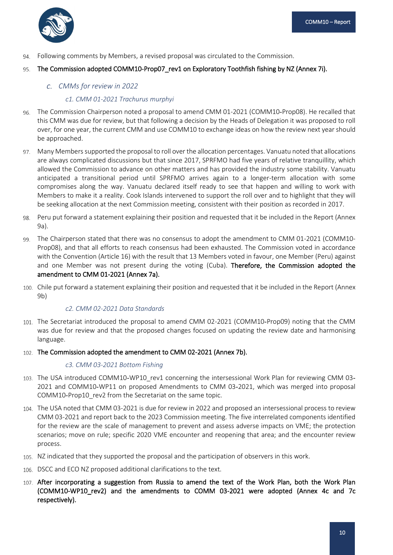

Following comments by Members, a revised proposal was circulated to the Commission. 94.

#### The Commission adopted COMM10-Prop07 rev1 on Exploratory Toothfish fishing by NZ (Annex 7i). 95.

### <span id="page-13-0"></span>*CMMs for review in 2022*

### *c1. CMM 01-2021 Trachurus murphyi*

- The Commission Chairperson noted a proposal to amend CMM 01-2021 (COMM10‐Prop08). He recalled that 96. this CMM was due for review, but that following a decision by the Heads of Delegation it was proposed to roll over, for one year, the current CMM and use COMM10 to exchange ideas on how the review next year should be approached.
- Many Members supported the proposal to roll over the allocation percentages. Vanuatu noted that allocations are always complicated discussions but that since 2017, SPRFMO had five years of relative tranquillity, which allowed the Commission to advance on other matters and has provided the industry some stability. Vanuatu anticipated a transitional period until SPRFMO arrives again to a longer-term allocation with some compromises along the way. Vanuatu declared itself ready to see that happen and willing to work with Members to make it a reality. Cook Islands intervened to support the roll over and to highlight that they will be seeking allocation at the next Commission meeting, consistent with their position as recorded in 2017.
- Peru put forward a statement explaining their position and requested that it be included in the Report (Annex 98. 9a).
- The Chairperson stated that there was no consensus to adopt the amendment to CMM 01-2021 (COMM10- Prop08), and that all efforts to reach consensus had been exhausted. The Commission voted in accordance with the Convention (Article 16) with the result that 13 Members voted in favour, one Member (Peru) against and one Member was not present during the voting (Cuba). Therefore, the Commission adopted the amendment to CMM 01-2021 (Annex 7a).
- 100. Chile put forward a statement explaining their position and requested that it be included in the Report (Annex 9b)

### *c2. CMM 02-2021 Data Standards*

- The Secretariat introduced the proposal to amend CMM 02-2021 (COMM10‐Prop09) noting that the CMM was due for review and that the proposed changes focused on updating the review date and harmonising language.
- 102. The Commission adopted the amendment to CMM 02-2021 (Annex 7b).

### *c3. CMM 03-2021 Bottom Fishing*

- 103. The USA introduced COMM10-WP10 rev1 concerning the intersessional Work Plan for reviewing CMM 03-2021 and COMM10‐WP11 on proposed Amendments to CMM 03‐2021, which was merged into proposal COMM10-Prop10 rev2 from the Secretariat on the same topic.
- 104. The USA noted that CMM 03-2021 is due for review in 2022 and proposed an intersessional process to review CMM 03-2021 and report back to the 2023 Commission meeting. The five interrelated components identified for the review are the scale of management to prevent and assess adverse impacts on VME; the protection scenarios; move on rule; specific 2020 VME encounter and reopening that area; and the encounter review process.
- 105. NZ indicated that they supported the proposal and the participation of observers in this work.
- 106. DSCC and ECO NZ proposed additional clarifications to the text.
- 107. After incorporating a suggestion from Russia to amend the text of the Work Plan, both the Work Plan (COMM10-WP10\_rev2) and the amendments to COMM 03-2021 were adopted (Annex 4c and 7c respectively).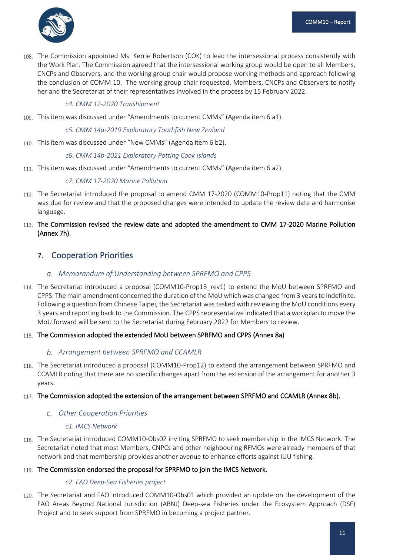

108. The Commission appointed Ms. Kerrie Robertson (COK) to lead the intersessional process consistently with the Work Plan. The Commission agreed that the intersessional working group would be open to all Members, CNCPs and Observers, and the working group chair would propose working methods and approach following the conclusion of COMM 10. The working group chair requested, Members, CNCPs and Observers to notify her and the Secretariat of their representatives involved in the process by 15 February 2022.

*c4. CMM 12-2020 Transhipment*

This item was discussed under "Amendments to current CMMs" (Agenda item 6 a1).

*c5. CMM 14a-2019 Exploratory Toothfish New Zealand*

110. This item was discussed under "New CMMs" (Agenda item 6 b2).

*c6. CMM 14b-2021 Exploratory Potting Cook Islands*

111. This item was discussed under "Amendments to current CMMs" (Agenda item 6 a2).

### *c7. CMM 17-2020 Marine Pollution*

- The Secretariat introduced the proposal to amend CMM 17-2020 (COMM10‐Prop11) noting that the CMM was due for review and that the proposed changes were intended to update the review date and harmonise language.
- 113. The Commission revised the review date and adopted the amendment to CMM 17-2020 Marine Pollution (Annex 7h).

### <span id="page-14-0"></span>7. Cooperation Priorities

### <span id="page-14-1"></span>*Memorandum of Understanding between SPRFMO and CPPS*

- 114. The Secretariat introduced a proposal (COMM10-Prop13\_rev1) to extend the MoU between SPRFMO and CPPS. The main amendment concerned the duration of the MoU which was changed from 3 years to indefinite. Following a question from Chinese Taipei, the Secretariat was tasked with reviewing the MoU conditions every 3 years and reporting back to the Commission. The CPPS representative indicated that a workplan to move the MoU forward will be sent to the Secretariat during February 2022 for Members to review.
- 115. The Commission adopted the extended MoU between SPRFMO and CPPS (Annex 8a)

### <span id="page-14-2"></span>*Arrangement between SPRFMO and CCAMLR*

116. The Secretariat introduced a proposal (COMM10-Prop12) to extend the arrangement between SPRFMO and CCAMLR noting that there are no specific changes apart from the extension of the arrangement for another 3 years.

### 117. The Commission adopted the extension of the arrangement between SPRFMO and CCAMLR (Annex 8b).

### <span id="page-14-3"></span>*Other Cooperation Priorities*

### *c1. IMCS Network*

118. The Secretariat introduced COMM10-Obs02 inviting SPRFMO to seek membership in the IMCS Network. The Secretariat noted that most Members, CNPCs and other neighbouring RFMOs were already members of that network and that membership provides another avenue to enhance efforts against IUU fishing.

### 119. The Commission endorsed the proposal for SPRFMO to join the IMCS Network.

### *c2. FAO Deep-Sea Fisheries project*

120. The Secretariat and FAO introduced COMM10-Obs01 which provided an update on the development of the FAO Areas Beyond National Jurisdiction (ABNJ) Deep-sea Fisheries under the Ecosystem Approach (DSF) Project and to seek support from SPRFMO in becoming a project partner.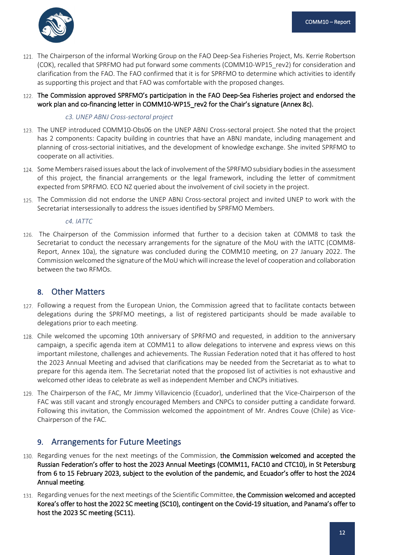

121. The Chairperson of the informal Working Group on the FAO Deep-Sea Fisheries Project, Ms. Kerrie Robertson (COK), recalled that SPRFMO had put forward some comments (COMM10-WP15\_rev2) for consideration and clarification from the FAO. The FAO confirmed that it is for SPRFMO to determine which activities to identify as supporting this project and that FAO was comfortable with the proposed changes.

### 122. The Commission approved SPRFMO's participation in the FAO Deep-Sea Fisheries project and endorsed the work plan and co-financing letter in COMM10-WP15\_rev2 for the Chair's signature (Annex 8c).

### *c3. UNEP ABNJ Cross-sectoral project*

- 123. The UNEP introduced COMM10-Obs06 on the UNEP ABNJ Cross-sectoral project. She noted that the project has 2 components: Capacity building in countries that have an ABNJ mandate, including management and planning of cross-sectorial initiatives, and the development of knowledge exchange. She invited SPRFMO to cooperate on all activities.
- 124. Some Members raised issues about the lack of involvement of the SPRFMO subsidiary bodies in the assessment of this project, the financial arrangements or the legal framework, including the letter of commitment expected from SPRFMO. ECO NZ queried about the involvement of civil society in the project.
- 125. The Commission did not endorse the UNEP ABNJ Cross-sectoral project and invited UNEP to work with the Secretariat intersessionally to address the issues identified by SPRFMO Members.

*c4. IATTC* 

126. The Chairperson of the Commission informed that further to a decision taken at COMM8 to task the Secretariat to conduct the necessary arrangements for the signature of the MoU with the IATTC (COMM8- Report, Annex 10a), the signature was concluded during the COMM10 meeting, on 27 January 2022. The Commission welcomed the signature of the MoU which will increase the level of cooperation and collaboration between the two RFMOs.

# <span id="page-15-0"></span>8. Other Matters

- 127. Following a request from the European Union, the Commission agreed that to facilitate contacts between delegations during the SPRFMO meetings, a list of registered participants should be made available to delegations prior to each meeting.
- 128. Chile welcomed the upcoming 10th anniversary of SPRFMO and requested, in addition to the anniversary campaign, a specific agenda item at COMM11 to allow delegations to intervene and express views on this important milestone, challenges and achievements. The Russian Federation noted that it has offered to host the 2023 Annual Meeting and advised that clarifications may be needed from the Secretariat as to what to prepare for this agenda item. The Secretariat noted that the proposed list of activities is not exhaustive and welcomed other ideas to celebrate as well as independent Member and CNCPs initiatives.
- 129. The Chairperson of the FAC, Mr Jimmy Villavicencio (Ecuador), underlined that the Vice-Chairperson of the FAC was still vacant and strongly encouraged Members and CNPCs to consider putting a candidate forward. Following this invitation, the Commission welcomed the appointment of Mr. Andres Couve (Chile) as Vice-Chairperson of the FAC.

# <span id="page-15-1"></span>9. Arrangements for Future Meetings

- 130. Regarding venues for the next meetings of the Commission, the Commission welcomed and accepted the Russian Federation's offer to host the 2023 Annual Meetings (COMM11, FAC10 and CTC10), in St Petersburg from 6 to 15 February 2023, subject to the evolution of the pandemic, and Ecuador's offer to host the 2024 Annual meeting.
- 131. Regarding venues for the next meetings of the Scientific Committee, the Commission welcomed and accepted Korea's offer to host the 2022 SC meeting (SC10), contingent on the Covid-19 situation, and Panama's offer to host the 2023 SC meeting (SC11).